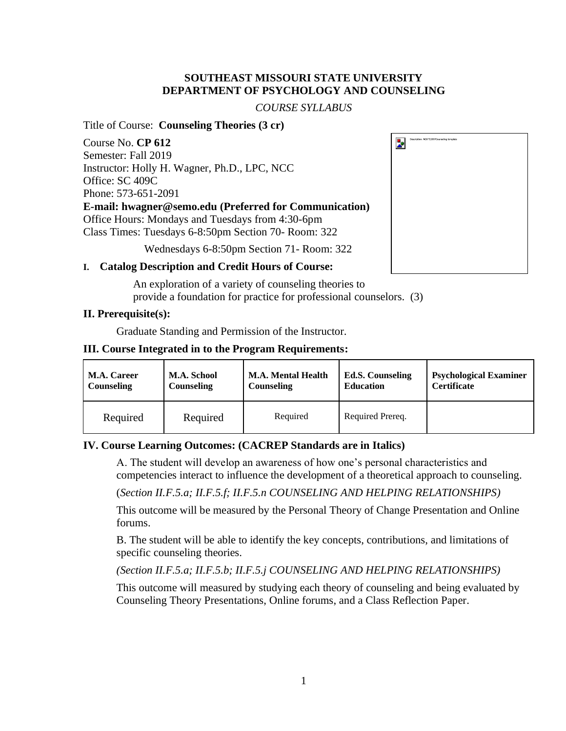### **SOUTHEAST MISSOURI STATE UNIVERSITY DEPARTMENT OF PSYCHOLOGY AND COUNSELING**

### *COURSE SYLLABUS*

Title of Course: **Counseling Theories (3 cr)**

Course No. **CP 612** Semester: Fall 2019 Instructor: Holly H. Wagner, Ph.D., LPC, NCC Office: SC 409C Phone: 573-651-2091 **E-mail: hwagner@semo.edu (Preferred for Communication)** Office Hours: Mondays and Tuesdays from 4:30-6pm Class Times: Tuesdays 6-8:50pm Section 70- Room: 322

Wednesdays 6-8:50pm Section 71- Room: 322

### **I. Catalog Description and Credit Hours of Course:**

An exploration of a variety of counseling theories to provide a foundation for practice for professional counselors. (3)

### **II. Prerequisite(s):**

Graduate Standing and Permission of the Instructor.

### **III. Course Integrated in to the Program Requirements:**

| <b>M.A. Career</b> | M.A. School       | <b>M.A. Mental Health</b> | <b>Ed.S. Counseling</b> | <b>Psychological Examiner</b> |
|--------------------|-------------------|---------------------------|-------------------------|-------------------------------|
| Counseling         | <b>Counseling</b> | Counseling                | <b>Education</b>        | <b>Certificate</b>            |
| Required           | Required          | Required                  | Required Prereq.        |                               |

### **IV. Course Learning Outcomes: (CACREP Standards are in Italics)**

A. The student will develop an awareness of how one's personal characteristics and competencies interact to influence the development of a theoretical approach to counseling.

(*Section II.F.5.a; II.F.5.f; II.F.5.n COUNSELING AND HELPING RELATIONSHIPS)*

This outcome will be measured by the Personal Theory of Change Presentation and Online forums.

B. The student will be able to identify the key concepts, contributions, and limitations of specific counseling theories.

*(Section II.F.5.a; II.F.5.b; II.F.5.j COUNSELING AND HELPING RELATIONSHIPS)*

This outcome will measured by studying each theory of counseling and being evaluated by Counseling Theory Presentations, Online forums, and a Class Reflection Paper.

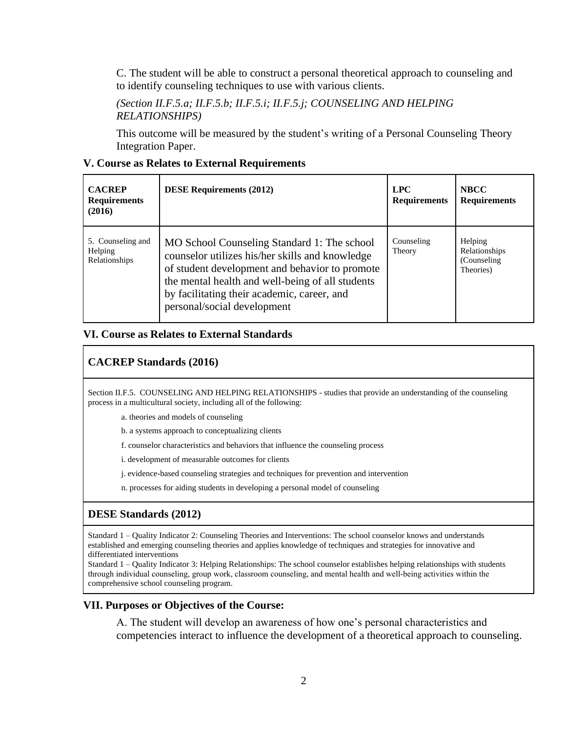C. The student will be able to construct a personal theoretical approach to counseling and to identify counseling techniques to use with various clients.

# *(Section II.F.5.a; II.F.5.b; II.F.5.i; II.F.5.j; COUNSELING AND HELPING RELATIONSHIPS)*

This outcome will be measured by the student's writing of a Personal Counseling Theory Integration Paper.

#### **V. Course as Relates to External Requirements**

| <b>CACREP</b><br><b>Requirements</b><br>(2016) | <b>DESE Requirements (2012)</b>                                                                                                                                                                                                                                                    | <b>LPC</b><br><b>Requirements</b> | <b>NBCC</b><br><b>Requirements</b>                    |
|------------------------------------------------|------------------------------------------------------------------------------------------------------------------------------------------------------------------------------------------------------------------------------------------------------------------------------------|-----------------------------------|-------------------------------------------------------|
| 5. Counseling and<br>Helping<br>Relationships  | MO School Counseling Standard 1: The school<br>counselor utilizes his/her skills and knowledge<br>of student development and behavior to promote<br>the mental health and well-being of all students<br>by facilitating their academic, career, and<br>personal/social development | Counseling<br>Theory              | Helping<br>Relationships<br>(Counseling)<br>Theories) |

### **VI. Course as Relates to External Standards**

# **CACREP Standards (2016)**

Section II.F.5. COUNSELING AND HELPING RELATIONSHIPS - studies that provide an understanding of the counseling process in a multicultural society, including all of the following:

a. theories and models of counseling

b. a systems approach to conceptualizing clients

f. counselor characteristics and behaviors that influence the counseling process

i. development of measurable outcomes for clients

j. evidence-based counseling strategies and techniques for prevention and intervention

n. processes for aiding students in developing a personal model of counseling

# **DESE Standards (2012)**

Standard 1 – Quality Indicator 2: Counseling Theories and Interventions: The school counselor knows and understands established and emerging counseling theories and applies knowledge of techniques and strategies for innovative and differentiated interventions

Standard 1 – Quality Indicator 3: Helping Relationships: The school counselor establishes helping relationships with students through individual counseling, group work, classroom counseling, and mental health and well‐being activities within the comprehensive school counseling program.

#### **VII. Purposes or Objectives of the Course:**

A. The student will develop an awareness of how one's personal characteristics and competencies interact to influence the development of a theoretical approach to counseling.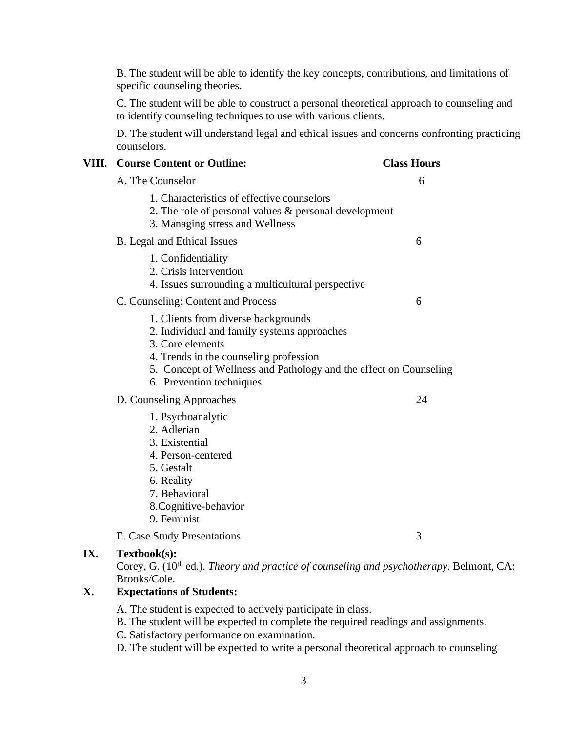B. The student will be able to identify the key concepts, contributions, and limitations of specific counseling theories.

C. The student will be able to construct a personal theoretical approach to counseling and to identify counseling techniques to use with various clients.

D. The student will understand legal and ethical issues and concerns confronting practicing counselors.

| VIII. | <b>Course Content or Outline:</b>                                                                                                                                                                                                                 | <b>Class Hours</b> |
|-------|---------------------------------------------------------------------------------------------------------------------------------------------------------------------------------------------------------------------------------------------------|--------------------|
|       | A. The Counselor                                                                                                                                                                                                                                  | 6                  |
|       | 1. Characteristics of effective counselors<br>2. The role of personal values & personal development<br>3. Managing stress and Wellness                                                                                                            |                    |
|       | B. Legal and Ethical Issues                                                                                                                                                                                                                       | 6                  |
|       | 1. Confidentiality<br>2. Crisis intervention<br>4. Issues surrounding a multicultural perspective                                                                                                                                                 |                    |
|       | C. Counseling: Content and Process                                                                                                                                                                                                                | 6                  |
|       | 1. Clients from diverse backgrounds<br>2. Individual and family systems approaches<br>3. Core elements<br>4. Trends in the counseling profession<br>5. Concept of Wellness and Pathology and the effect on Counseling<br>6. Prevention techniques |                    |
|       | D. Counseling Approaches                                                                                                                                                                                                                          | 24                 |
|       | 1. Psychoanalytic<br>2. Adlerian<br>3. Existential<br>4. Person-centered<br>5. Gestalt<br>6. Reality<br>7. Behavioral<br>8. Cognitive-behavior<br>9. Feminist                                                                                     |                    |
|       | E. Case Study Presentations                                                                                                                                                                                                                       | 3                  |
|       |                                                                                                                                                                                                                                                   |                    |

### **IX. Textbook(s):**

Corey, G. (10th ed.). *Theory and practice of counseling and psychotherapy*. Belmont, CA: Brooks/Cole.

# **X. Expectations of Students:**

A. The student is expected to actively participate in class.

B. The student will be expected to complete the required readings and assignments.

C. Satisfactory performance on examination.

D. The student will be expected to write a personal theoretical approach to counseling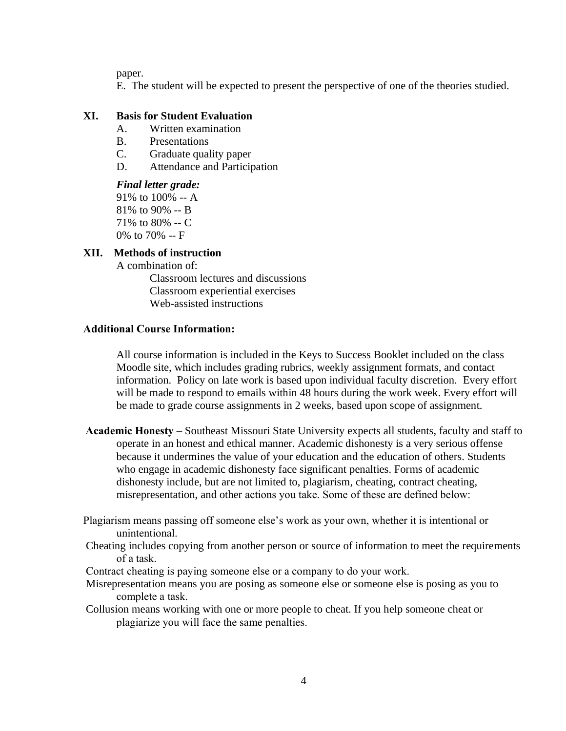paper.

E. The student will be expected to present the perspective of one of the theories studied.

### **XI. Basis for Student Evaluation**

- A. Written examination
- B. Presentations
- C. Graduate quality paper
- D. Attendance and Participation

### *Final letter grade:*

91% to 100% -- A 81% to 90% -- B 71% to 80% -- C 0% to 70% -- F

### **XII. Methods of instruction**

A combination of:

Classroom lectures and discussions Classroom experiential exercises Web-assisted instructions

### **Additional Course Information:**

All course information is included in the Keys to Success Booklet included on the class Moodle site, which includes grading rubrics, weekly assignment formats, and contact information. Policy on late work is based upon individual faculty discretion. Every effort will be made to respond to emails within 48 hours during the work week. Every effort will be made to grade course assignments in 2 weeks, based upon scope of assignment.

- **Academic Honesty** Southeast Missouri State University expects all students, faculty and staff to operate in an honest and ethical manner. Academic dishonesty is a very serious offense because it undermines the value of your education and the education of others. Students who engage in academic dishonesty face significant penalties. Forms of academic dishonesty include, but are not limited to, plagiarism, cheating, contract cheating, misrepresentation, and other actions you take. Some of these are defined below:
- Plagiarism means passing off someone else's work as your own, whether it is intentional or unintentional.
- Cheating includes copying from another person or source of information to meet the requirements of a task.
- Contract cheating is paying someone else or a company to do your work.
- Misrepresentation means you are posing as someone else or someone else is posing as you to complete a task.
- Collusion means working with one or more people to cheat. If you help someone cheat or plagiarize you will face the same penalties.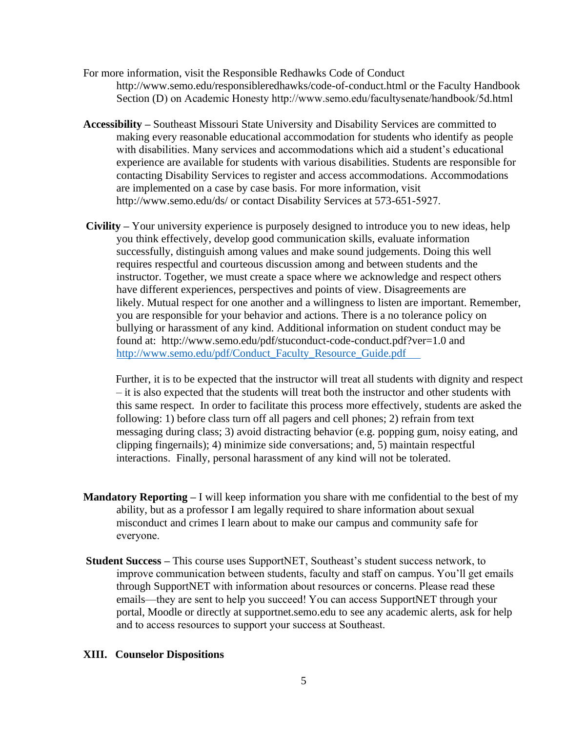- For more information, visit the Responsible Redhawks Code of Conduct http://www.semo.edu/responsibleredhawks/code-of-conduct.html or the Faculty Handbook Section (D) on Academic Honesty http://www.semo.edu/facultysenate/handbook/5d.html
- **Accessibility –** Southeast Missouri State University and Disability Services are committed to making every reasonable educational accommodation for students who identify as people with disabilities. Many services and accommodations which aid a student's educational experience are available for students with various disabilities. Students are responsible for contacting Disability Services to register and access accommodations. Accommodations are implemented on a case by case basis. For more information, visit http://www.semo.edu/ds/ or contact Disability Services at 573-651-5927.
- **Civility –** Your university experience is purposely designed to introduce you to new ideas, help you think effectively, develop good communication skills, evaluate information successfully, distinguish among values and make sound judgements. Doing this well requires respectful and courteous discussion among and between students and the instructor. Together, we must create a space where we acknowledge and respect others have different experiences, perspectives and points of view. Disagreements are likely. Mutual respect for one another and a willingness to listen are important. Remember, you are responsible for your behavior and actions. There is a no tolerance policy on bullying or harassment of any kind. Additional information on student conduct may be found at: http://www.semo.edu/pdf/stuconduct-code-conduct.pdf?ver=1.0 and http://www.semo.edu/pdf/Conduct\_Faculty\_Resource\_Guide.pdf

Further, it is to be expected that the instructor will treat all students with dignity and respect – it is also expected that the students will treat both the instructor and other students with this same respect. In order to facilitate this process more effectively, students are asked the following: 1) before class turn off all pagers and cell phones; 2) refrain from text messaging during class; 3) avoid distracting behavior (e.g. popping gum, noisy eating, and clipping fingernails); 4) minimize side conversations; and, 5) maintain respectful interactions. Finally, personal harassment of any kind will not be tolerated.

- **Mandatory Reporting –** I will keep information you share with me confidential to the best of my ability, but as a professor I am legally required to share information about sexual misconduct and crimes I learn about to make our campus and community safe for everyone.
- **Student Success –** This course uses SupportNET, Southeast's student success network, to improve communication between students, faculty and staff on campus. You'll get emails through SupportNET with information about resources or concerns. Please read these emails—they are sent to help you succeed! You can access SupportNET through your portal, Moodle or directly at supportnet.semo.edu to see any academic alerts, ask for help and to access resources to support your success at Southeast.

### **XIII. Counselor Dispositions**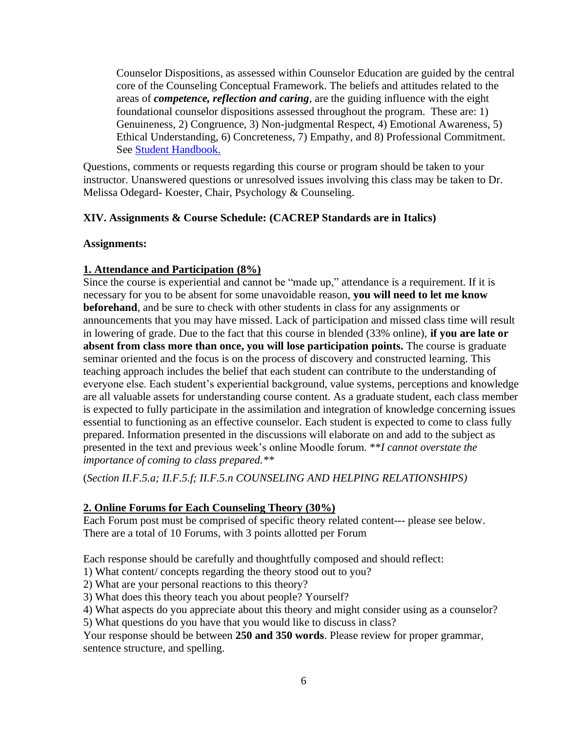Counselor Dispositions, as assessed within Counselor Education are guided by the central core of the Counseling Conceptual Framework. The beliefs and attitudes related to the areas of *competence, reflection and caring*, are the guiding influence with the eight foundational counselor dispositions assessed throughout the program. These are: 1) Genuineness, 2) Congruence, 3) Non-judgmental Respect, 4) Emotional Awareness, 5) Ethical Understanding, 6) Concreteness, 7) Empathy, and 8) Professional Commitment. See [Student](http://www4.semo.edu/counsel/Forms/StudentHandbook.htm) [Handbook.](http://www4.semo.edu/counsel/Forms/StudentHandbook.htm)

Questions, comments or requests regarding this course or program should be taken to your instructor. Unanswered questions or unresolved issues involving this class may be taken to Dr. Melissa Odegard- Koester, Chair, Psychology & Counseling.

# **XIV. Assignments & Course Schedule: (CACREP Standards are in Italics)**

# **Assignments:**

# **1. Attendance and Participation (8%)**

Since the course is experiential and cannot be "made up," attendance is a requirement. If it is necessary for you to be absent for some unavoidable reason, **you will need to let me know beforehand**, and be sure to check with other students in class for any assignments or announcements that you may have missed. Lack of participation and missed class time will result in lowering of grade. Due to the fact that this course in blended (33% online), **if you are late or absent from class more than once, you will lose participation points.** The course is graduate seminar oriented and the focus is on the process of discovery and constructed learning. This teaching approach includes the belief that each student can contribute to the understanding of everyone else. Each student's experiential background, value systems, perceptions and knowledge are all valuable assets for understanding course content. As a graduate student, each class member is expected to fully participate in the assimilation and integration of knowledge concerning issues essential to functioning as an effective counselor. Each student is expected to come to class fully prepared. Information presented in the discussions will elaborate on and add to the subject as presented in the text and previous week's online Moodle forum. \*\**I cannot overstate the importance of coming to class prepared.\*\**

(*Section II.F.5.a; II.F.5.f; II.F.5.n COUNSELING AND HELPING RELATIONSHIPS)*

# **2. Online Forums for Each Counseling Theory (30%)**

Each Forum post must be comprised of specific theory related content--- please see below. There are a total of 10 Forums, with 3 points allotted per Forum

Each response should be carefully and thoughtfully composed and should reflect:

- 1) What content/ concepts regarding the theory stood out to you?
- 2) What are your personal reactions to this theory?
- 3) What does this theory teach you about people? Yourself?
- 4) What aspects do you appreciate about this theory and might consider using as a counselor?

5) What questions do you have that you would like to discuss in class?

Your response should be between **250 and 350 words**. Please review for proper grammar, sentence structure, and spelling.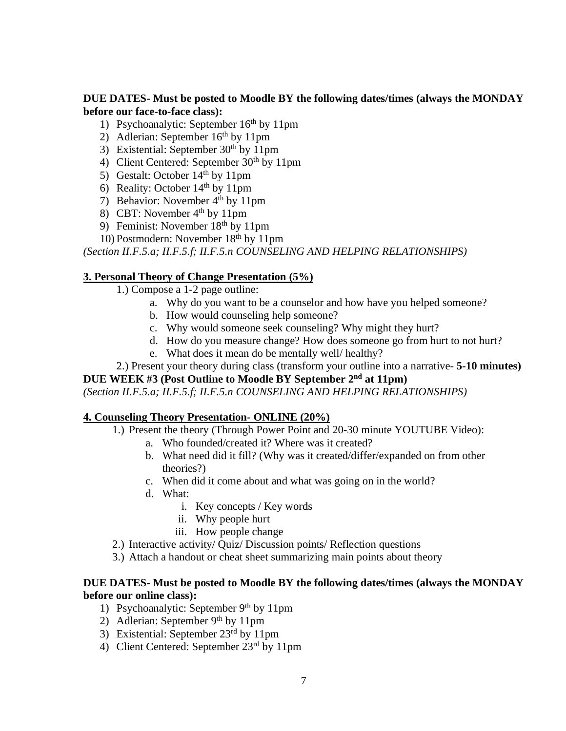### **DUE DATES- Must be posted to Moodle BY the following dates/times (always the MONDAY before our face-to-face class):**

- 1) Psychoanalytic: September 16<sup>th</sup> by 11pm
- 2) Adlerian: September  $16<sup>th</sup>$  by 11pm
- 3) Existential: September  $30<sup>th</sup>$  by 11pm
- 4) Client Centered: September  $30<sup>th</sup>$  by 11pm
- 5) Gestalt: October  $14<sup>th</sup>$  by 11pm
- 6) Reality: October  $14<sup>th</sup>$  by 11pm
- 7) Behavior: November 4<sup>th</sup> by 11pm
- 8) CBT: November  $4<sup>th</sup>$  by 11pm
- 9) Feminist: November  $18<sup>th</sup>$  by  $11<sub>pm</sub>$
- 10) Postmodern: November 18th by 11pm

*(Section II.F.5.a; II.F.5.f; II.F.5.n COUNSELING AND HELPING RELATIONSHIPS)*

### **3. Personal Theory of Change Presentation (5%)**

- 1.) Compose a 1-2 page outline:
	- a. Why do you want to be a counselor and how have you helped someone?
	- b. How would counseling help someone?
	- c. Why would someone seek counseling? Why might they hurt?
	- d. How do you measure change? How does someone go from hurt to not hurt?
	- e. What does it mean do be mentally well/ healthy?

### 2.) Present your theory during class (transform your outline into a narrative- **5-10 minutes)**

### **DUE WEEK #3 (Post Outline to Moodle BY September 2 nd at 11pm)**

*(Section II.F.5.a; II.F.5.f; II.F.5.n COUNSELING AND HELPING RELATIONSHIPS)*

#### **4. Counseling Theory Presentation- ONLINE (20%)**

- 1.) Present the theory (Through Power Point and 20-30 minute YOUTUBE Video):
	- a. Who founded/created it? Where was it created?
	- b. What need did it fill? (Why was it created/differ/expanded on from other theories?)
	- c. When did it come about and what was going on in the world?
	- d. What:
		- i. Key concepts / Key words
		- ii. Why people hurt
		- iii. How people change
- 2.) Interactive activity/ Quiz/ Discussion points/ Reflection questions
- 3.) Attach a handout or cheat sheet summarizing main points about theory

### **DUE DATES- Must be posted to Moodle BY the following dates/times (always the MONDAY before our online class):**

- 1) Psychoanalytic: September  $9<sup>th</sup>$  by 11pm
- 2) Adlerian: September  $9<sup>th</sup>$  by 11pm
- 3) Existential: September  $23<sup>rd</sup>$  by 11pm
- 4) Client Centered: September 23<sup>rd</sup> by 11pm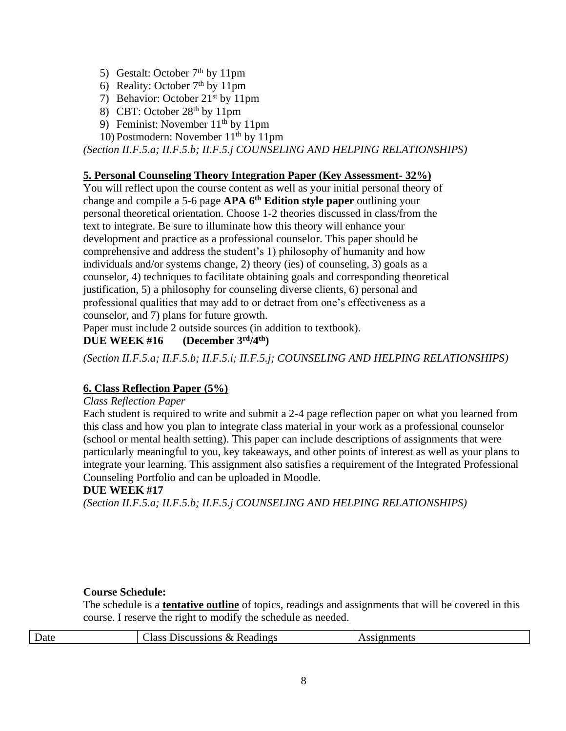- 5) Gestalt: October 7<sup>th</sup> by 11pm
- 6) Reality: October  $7<sup>th</sup>$  by 11pm
- 7) Behavior: October 21st by 11pm
- 8) CBT: October 28<sup>th</sup> by 11pm
- 9) Feminist: November 11th by 11pm
- 10) Postmodern: November 11th by 11pm

*(Section II.F.5.a; II.F.5.b; II.F.5.j COUNSELING AND HELPING RELATIONSHIPS)*

# **5. Personal Counseling Theory Integration Paper (Key Assessment- 32%)**

You will reflect upon the course content as well as your initial personal theory of change and compile a 5-6 page **APA 6th Edition style paper** outlining your personal theoretical orientation. Choose 1-2 theories discussed in class/from the text to integrate. Be sure to illuminate how this theory will enhance your development and practice as a professional counselor. This paper should be comprehensive and address the student's 1) philosophy of humanity and how individuals and/or systems change, 2) theory (ies) of counseling, 3) goals as a counselor, 4) techniques to facilitate obtaining goals and corresponding theoretical justification, 5) a philosophy for counseling diverse clients, 6) personal and professional qualities that may add to or detract from one's effectiveness as a counselor, and 7) plans for future growth.

Paper must include 2 outside sources (in addition to textbook).

# **DUE WEEK #16 (December 3rd/4th)**

*(Section II.F.5.a; II.F.5.b; II.F.5.i; II.F.5.j; COUNSELING AND HELPING RELATIONSHIPS)*

# **6. Class Reflection Paper (5%)**

# *Class Reflection Paper*

Each student is required to write and submit a 2-4 page reflection paper on what you learned from this class and how you plan to integrate class material in your work as a professional counselor (school or mental health setting). This paper can include descriptions of assignments that were particularly meaningful to you, key takeaways, and other points of interest as well as your plans to integrate your learning. This assignment also satisfies a requirement of the Integrated Professional Counseling Portfolio and can be uploaded in Moodle.

# **DUE WEEK #17**

*(Section II.F.5.a; II.F.5.b; II.F.5.j COUNSELING AND HELPING RELATIONSHIPS)*

# **Course Schedule:**

The schedule is a **tentative outline** of topics, readings and assignments that will be covered in this course. I reserve the right to modify the schedule as needed.

| Date | & Readings<br>Class<br>Discussions $\&$ | onments. |
|------|-----------------------------------------|----------|
|      |                                         |          |